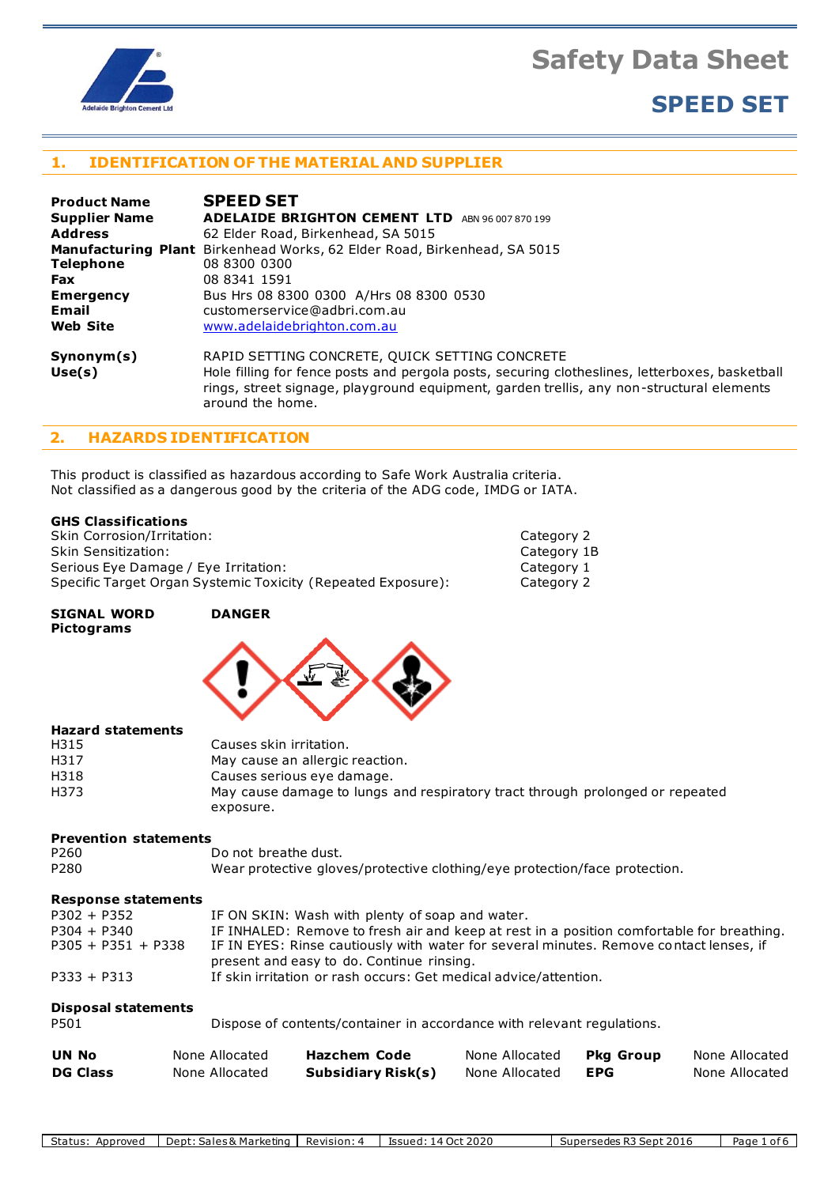

# **SPEED SET**

#### **1. IDENTIFICATION OF THE MATERIAL AND SUPPLIER**

| <b>Product Name</b>  | <b>SPEED SET</b>                                                                                                                                                                                               |
|----------------------|----------------------------------------------------------------------------------------------------------------------------------------------------------------------------------------------------------------|
| <b>Supplier Name</b> | <b>ADELAIDE BRIGHTON CEMENT LTD</b><br>ABN 96 007 870 199                                                                                                                                                      |
| <b>Address</b>       | 62 Elder Road, Birkenhead, SA 5015                                                                                                                                                                             |
|                      | <b>Manufacturing Plant</b> Birkenhead Works, 62 Elder Road, Birkenhead, SA 5015                                                                                                                                |
| <b>Telephone</b>     | 08 8300 0300                                                                                                                                                                                                   |
| <b>Fax</b>           | 08 8341 1591                                                                                                                                                                                                   |
| <b>Emergency</b>     | Bus Hrs 08 8300 0300 A/Hrs 08 8300 0530                                                                                                                                                                        |
| Email                | customerservice@adbri.com.au                                                                                                                                                                                   |
| <b>Web Site</b>      | www.adelaidebrighton.com.au                                                                                                                                                                                    |
| Synonym(s)           | RAPID SETTING CONCRETE, QUICK SETTING CONCRETE                                                                                                                                                                 |
| Use(s)               | Hole filling for fence posts and pergola posts, securing clotheslines, letterboxes, basketball<br>rings, street signage, playground equipment, garden trellis, any non-structural elements<br>around the home. |

#### **2. HAZARDS IDENTIFICATION**

This product is classified as hazardous according to Safe Work Australia criteria. Not classified as a dangerous good by the criteria of the ADG code, IMDG or IATA.

#### **GHS Classifications**

Skin Corrosion/Irritation: Category 2 Skin Sensitization: Category 1B Serious Eye Damage / Eye Irritation: Category 1 Category 1<br>
Specific Target Organ Systemic Toxicity (Repeated Exposure): Category 2 Specific Target Organ Systemic Toxicity (Repeated Exposure):

#### **SIGNAL WORD DANGER Pictograms**



#### **Hazard statements**

| H315 | Causes skin irritation.                                                       |
|------|-------------------------------------------------------------------------------|
| H317 | May cause an allergic reaction.                                               |
| H318 | Causes serious eye damage.                                                    |
| H373 | May cause damage to lungs and respiratory tract through prolonged or repeated |
|      | exposure.                                                                     |

#### **Prevention statements**

| P260  | Do not breathe dust. |  |  |
|-------|----------------------|--|--|
| _ _ _ |                      |  |  |

```
P280 Wear protective gloves/protective clothing/eye protection/face protection.
```
#### **Response statements**

| $P302 + P352$        | IF ON SKIN: Wash with plenty of soap and water.                                                                                     |
|----------------------|-------------------------------------------------------------------------------------------------------------------------------------|
| $P304 + P340$        | IF INHALED: Remove to fresh air and keep at rest in a position comfortable for breathing.                                           |
| $P305 + P351 + P338$ | IF IN EYES: Rinse cautiously with water for several minutes. Remove contact lenses, if<br>present and easy to do. Continue rinsing. |
| $P333 + P313$        | If skin irritation or rash occurs: Get medical advice/attention.                                                                    |
|                      |                                                                                                                                     |

#### **Disposal statements**

| P501 | Dispose of contents/container in accordance with relevant regulations. |
|------|------------------------------------------------------------------------|
|------|------------------------------------------------------------------------|

| <b>UN No</b>    | None Allocated | <b>Hazchem Code</b>       | None Allocated | <b>Pkg Group</b> | None Allocated |
|-----------------|----------------|---------------------------|----------------|------------------|----------------|
| <b>DG Class</b> | None Allocated | <b>Subsidiary Risk(s)</b> | None Allocated | <b>EPG</b>       | None Allocated |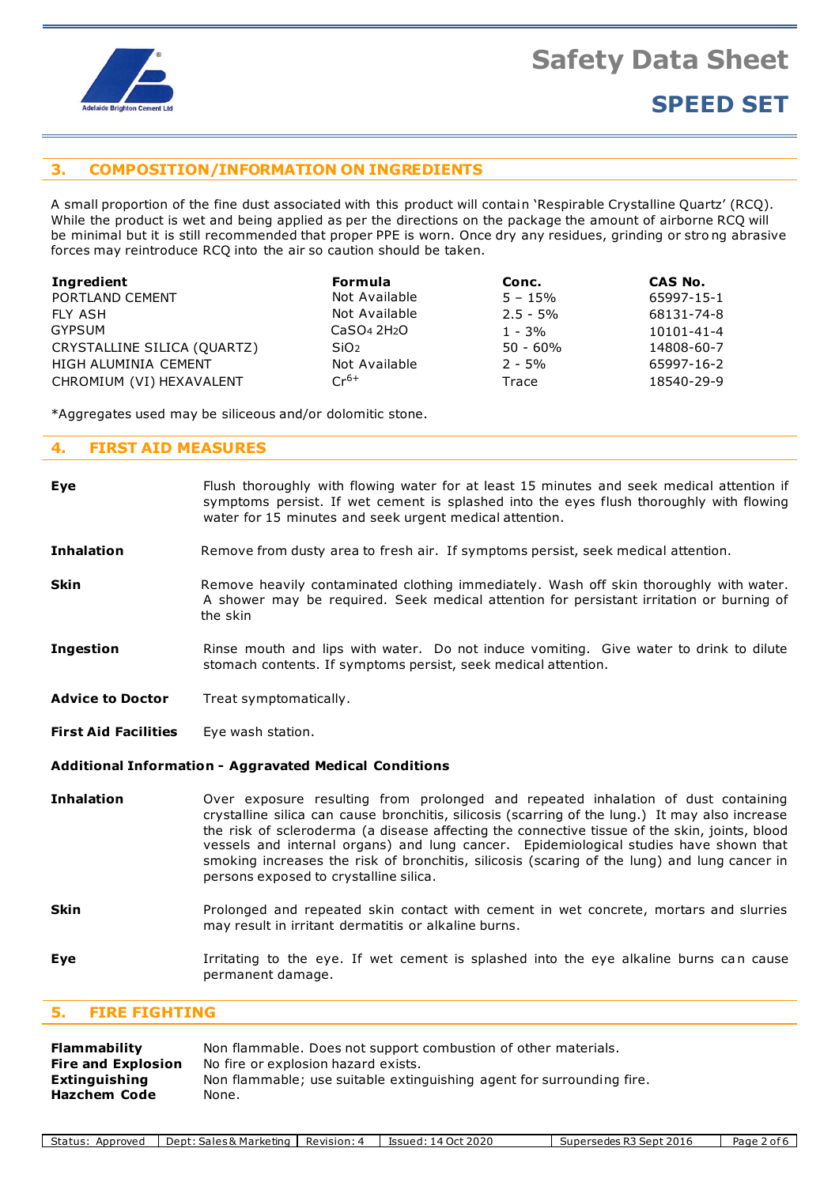

# **SPEED SET**

#### **3. COMPOSITION/INFORMATION ON INGREDIENTS**

A small proportion of the fine dust associated with this product will contain 'Respirable Crystalline Quartz' (RCQ). While the product is wet and being applied as per the directions on the package the amount of airborne RCQ will be minimal but it is still recommended that proper PPE is worn. Once dry any residues, grinding or stro ng abrasive forces may reintroduce RCQ into the air so caution should be taken.

| Ingredient                  | <b>Formula</b>                      | Conc.       | CAS No.    |
|-----------------------------|-------------------------------------|-------------|------------|
| PORTLAND CEMENT             | Not Available                       | $5 - 15%$   | 65997-15-1 |
| FLY ASH                     | Not Available                       | $2.5 - 5\%$ | 68131-74-8 |
| GYPSUM                      | CaSO <sub>4</sub> 2H <sub>2</sub> O | $1 - 3%$    | 10101-41-4 |
| CRYSTALLINE SILICA (QUARTZ) | SiO <sub>2</sub>                    | $50 - 60\%$ | 14808-60-7 |
| HIGH ALUMINIA CEMENT        | Not Available                       | $2 - 5%$    | 65997-16-2 |
| CHROMIUM (VI) HEXAVALENT    | $Cr^{6+}$                           | Trace       | 18540-29-9 |

\*Aggregates used may be siliceous and/or dolomitic stone.

#### **4. FIRST AID MEASURES**

| Eye                         | Flush thoroughly with flowing water for at least 15 minutes and seek medical attention if<br>symptoms persist. If wet cement is splashed into the eyes flush thoroughly with flowing<br>water for 15 minutes and seek urgent medical attention.                                                                                                                                                                                                                                                                          |  |  |  |
|-----------------------------|--------------------------------------------------------------------------------------------------------------------------------------------------------------------------------------------------------------------------------------------------------------------------------------------------------------------------------------------------------------------------------------------------------------------------------------------------------------------------------------------------------------------------|--|--|--|
| <b>Inhalation</b>           | Remove from dusty area to fresh air. If symptoms persist, seek medical attention.                                                                                                                                                                                                                                                                                                                                                                                                                                        |  |  |  |
| <b>Skin</b>                 | Remove heavily contaminated clothing immediately. Wash off skin thoroughly with water.<br>A shower may be required. Seek medical attention for persistant irritation or burning of<br>the skin                                                                                                                                                                                                                                                                                                                           |  |  |  |
| <b>Ingestion</b>            | Rinse mouth and lips with water. Do not induce vomiting. Give water to drink to dilute<br>stomach contents. If symptoms persist, seek medical attention.                                                                                                                                                                                                                                                                                                                                                                 |  |  |  |
| <b>Advice to Doctor</b>     | Treat symptomatically.                                                                                                                                                                                                                                                                                                                                                                                                                                                                                                   |  |  |  |
| <b>First Aid Facilities</b> | Eye wash station.                                                                                                                                                                                                                                                                                                                                                                                                                                                                                                        |  |  |  |
|                             | Additional Information - Aggravated Medical Conditions                                                                                                                                                                                                                                                                                                                                                                                                                                                                   |  |  |  |
| <b>Inhalation</b>           | Over exposure resulting from prolonged and repeated inhalation of dust containing<br>crystalline silica can cause bronchitis, silicosis (scarring of the lung.) It may also increase<br>the risk of scleroderma (a disease affecting the connective tissue of the skin, joints, blood<br>vessels and internal organs) and lung cancer. Epidemiological studies have shown that<br>smoking increases the risk of bronchitis, silicosis (scaring of the lung) and lung cancer in<br>persons exposed to crystalline silica. |  |  |  |
| <b>Skin</b>                 | Prolonged and repeated skin contact with cement in wet concrete, mortars and slurries<br>may result in irritant dermatitis or alkaline burns.                                                                                                                                                                                                                                                                                                                                                                            |  |  |  |

**Eye I**rritating to the eye. If wet cement is splashed into the eye alkaline burns can cause permanent damage.

#### **5. FIRE FIGHTING**

| Flammability                  | Non flammable. Does not support combustion of other materials.                 |
|-------------------------------|--------------------------------------------------------------------------------|
| <b>Fire and Explosion</b>     | No fire or explosion hazard exists.                                            |
| Extinguishing<br>Hazchem Code | Non flammable; use suitable extinguishing agent for surrounding fire.<br>None. |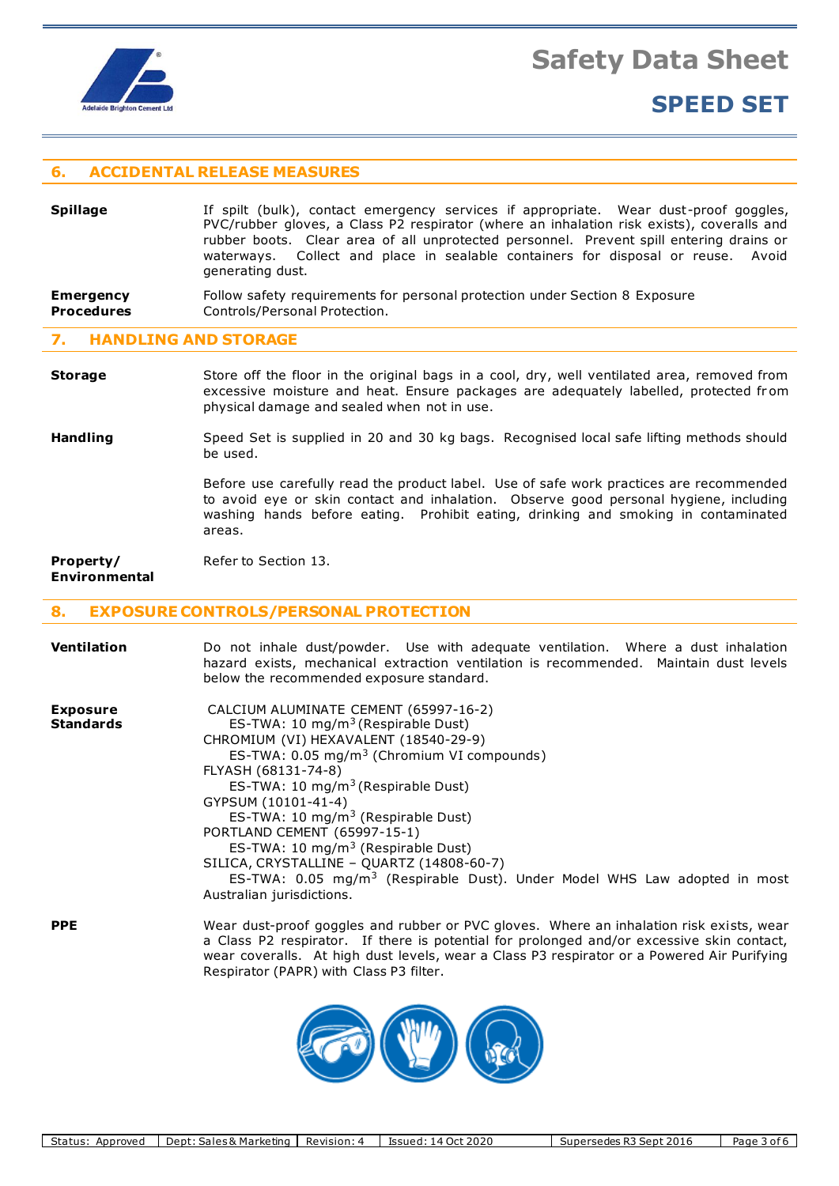

## **SPEED SET**

#### **6. ACCIDENTAL RELEASE MEASURES**

#### **Spillage** If spilt (bulk), contact emergency services if appropriate. Wear dust-proof goggles, PVC/rubber gloves, a Class P2 respirator (where an inhalation risk exists), coveralls and rubber boots. Clear area of all unprotected personnel. Prevent spill entering drains or waterways. Collect and place in sealable containers for disposal or reuse. Avoid generating dust. **Emergency** Follow safety requirements for personal protection under Section 8 Exposure

### **Procedures Controls/Personal Protection.**

#### **7. HANDLING AND STORAGE**

- **Storage** Store off the floor in the original bags in a cool, dry, well ventilated area, removed from excessive moisture and heat. Ensure packages are adequately labelled, protected from physical damage and sealed when not in use.
- Handling Speed Set is supplied in 20 and 30 kg bags. Recognised local safe lifting methods should be used.

Before use carefully read the product label. Use of safe work practices are recommended to avoid eye or skin contact and inhalation. Observe good personal hygiene, including washing hands before eating. Prohibit eating, drinking and smoking in contaminated areas.

wear coveralls. At high dust levels, wear a Class P3 respirator or a Powered Air Purifying

**Property/** Refer to Section 13. **Environmental**

#### **8. EXPOSURE CONTROLS/PERSONAL PROTECTION**

| <b>Ventilation</b>                  | Do not inhale dust/powder. Use with adequate ventilation. Where a dust inhalation<br>hazard exists, mechanical extraction ventilation is recommended. Maintain dust levels<br>below the recommended exposure standard.                                                                                                                                                                                                                                                                                                                                                                            |
|-------------------------------------|---------------------------------------------------------------------------------------------------------------------------------------------------------------------------------------------------------------------------------------------------------------------------------------------------------------------------------------------------------------------------------------------------------------------------------------------------------------------------------------------------------------------------------------------------------------------------------------------------|
| <b>Exposure</b><br><b>Standards</b> | CALCIUM ALUMINATE CEMENT (65997-16-2)<br>ES-TWA: 10 mg/m <sup>3</sup> (Respirable Dust)<br>CHROMIUM (VI) HEXAVALENT (18540-29-9)<br>ES-TWA: 0.05 mg/m <sup>3</sup> (Chromium VI compounds)<br>FLYASH (68131-74-8)<br>ES-TWA: 10 mg/m <sup>3</sup> (Respirable Dust)<br>GYPSUM (10101-41-4)<br>ES-TWA: 10 mg/m <sup>3</sup> (Respirable Dust)<br>PORTLAND CEMENT (65997-15-1)<br>ES-TWA: 10 mg/m <sup>3</sup> (Respirable Dust)<br>SILICA, CRYSTALLINE - QUARTZ (14808-60-7)<br>ES-TWA: 0.05 mg/m <sup>3</sup> (Respirable Dust). Under Model WHS Law adopted in most<br>Australian jurisdictions. |
| <b>PPE</b>                          | Wear dust-proof goggles and rubber or PVC gloves. Where an inhalation risk exists, wear<br>a Class P2 respirator. If there is potential for prolonged and/or excessive skin contact,                                                                                                                                                                                                                                                                                                                                                                                                              |



Respirator (PAPR) with Class P3 filter.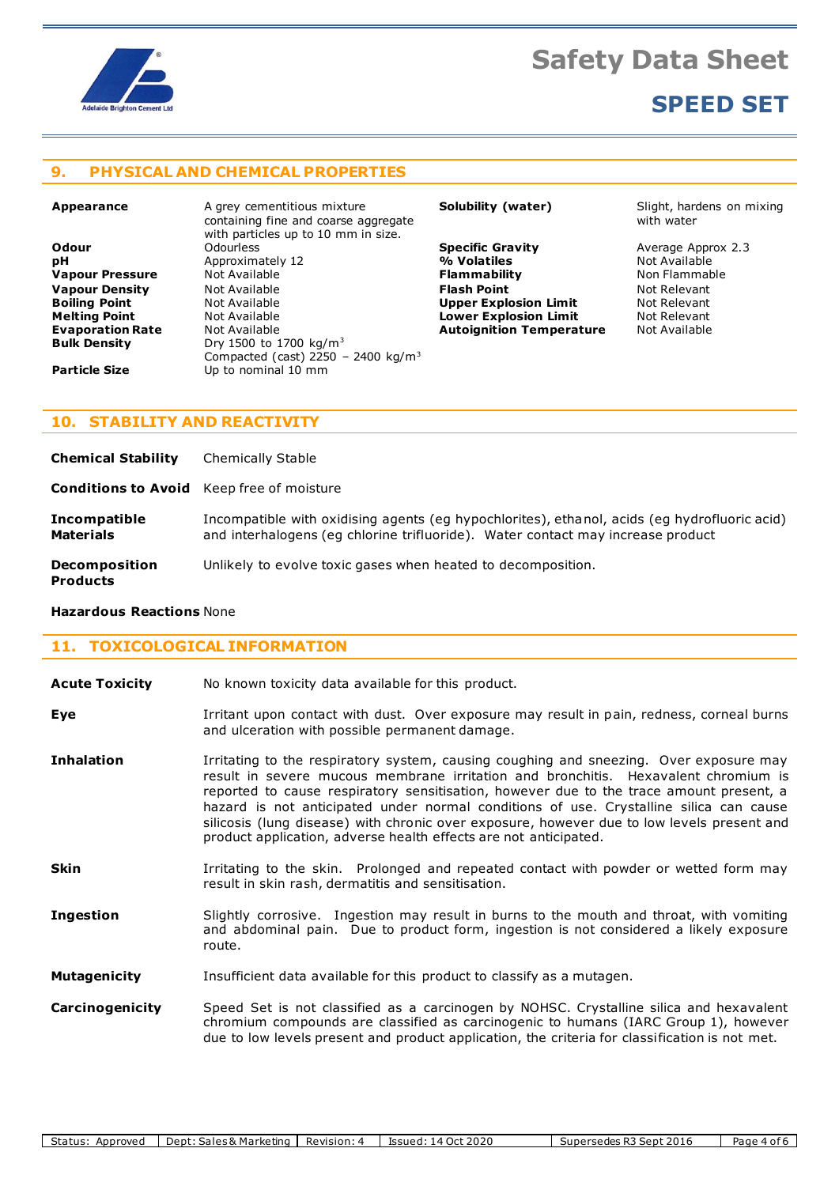

# **SPEED SET**

#### **9. PHYSICAL AND CHEMICAL PROPERTIES**

**Appearance A grey cementitious mixture** containing fine and coarse aggregate with particles up to 10 mm in size. **Odour** Odourless **Specific Gravity** Average Approx 2.3 **Approximately 12 Vapour Pressure** Mot Available **Flammability Flammability** Non Flammable **Vapour Density Not Available <b>Flash Point Flash Point** Mot Relevant **Relevant Boiling Point Not Relevant Relevant Boiling Point** Not Available **Upper Explosion Limit** Not Relevant **Melting Point** Not Available **Lower Explosion Limit** Not Relevant **Evaporation Rate** Mot Available **Autoignition Temperature Bulk Density** Dry 1500 to 1700 kg/m<sup>3</sup> Compacted (cast) 2250 - 2400 kg/ $m<sup>3</sup>$ **Particle Size** Up to nominal 10 mm

**Solubility (water)** Slight, hardens on mixing with water

### **10. STABILITY AND REACTIVITY**

**Chemical Stability** Chemically Stable

**Conditions to Avoid** Keep free of moisture

**Incompatible** Incompatible with oxidising agents (eg hypochlorites), ethanol, acids (eg hydrofluoric acid) **Materials** and interhalogens (eg chlorine trifluoride). Water contact may increase product

**Decomposition** Unlikely to evolve toxic gases when heated to decomposition.

### **Products**

#### **Hazardous Reactions** None

#### **11. TOXICOLOGICAL INFORMATION**

**Acute Toxicity** No known toxicity data available for this product.

**Eye I**rritant upon contact with dust. Over exposure may result in pain, redness, corneal burns and ulceration with possible permanent damage.

- **Inhalation** Irritating to the respiratory system, causing coughing and sneezing. Over exposure may result in severe mucous membrane irritation and bronchitis. Hexavalent chromium is reported to cause respiratory sensitisation, however due to the trace amount present, a hazard is not anticipated under normal conditions of use. Crystalline silica can cause silicosis (lung disease) with chronic over exposure, however due to low levels present and product application, adverse health effects are not anticipated.
- **Skin I**rritating to the skin. Prolonged and repeated contact with powder or wetted form may result in skin rash, dermatitis and sensitisation.
- **Ingestion** Slightly corrosive. Ingestion may result in burns to the mouth and throat, with vomiting and abdominal pain. Due to product form, ingestion is not considered a likely exposure route.
- **Mutagenicity** Insufficient data available for this product to classify as a mutagen.

**Carcinogenicity** Speed Set is not classified as a carcinogen by NOHSC. Crystalline silica and hexavalent chromium compounds are classified as carcinogenic to humans (IARC Group 1), however due to low levels present and product application, the criteria for classification is not met.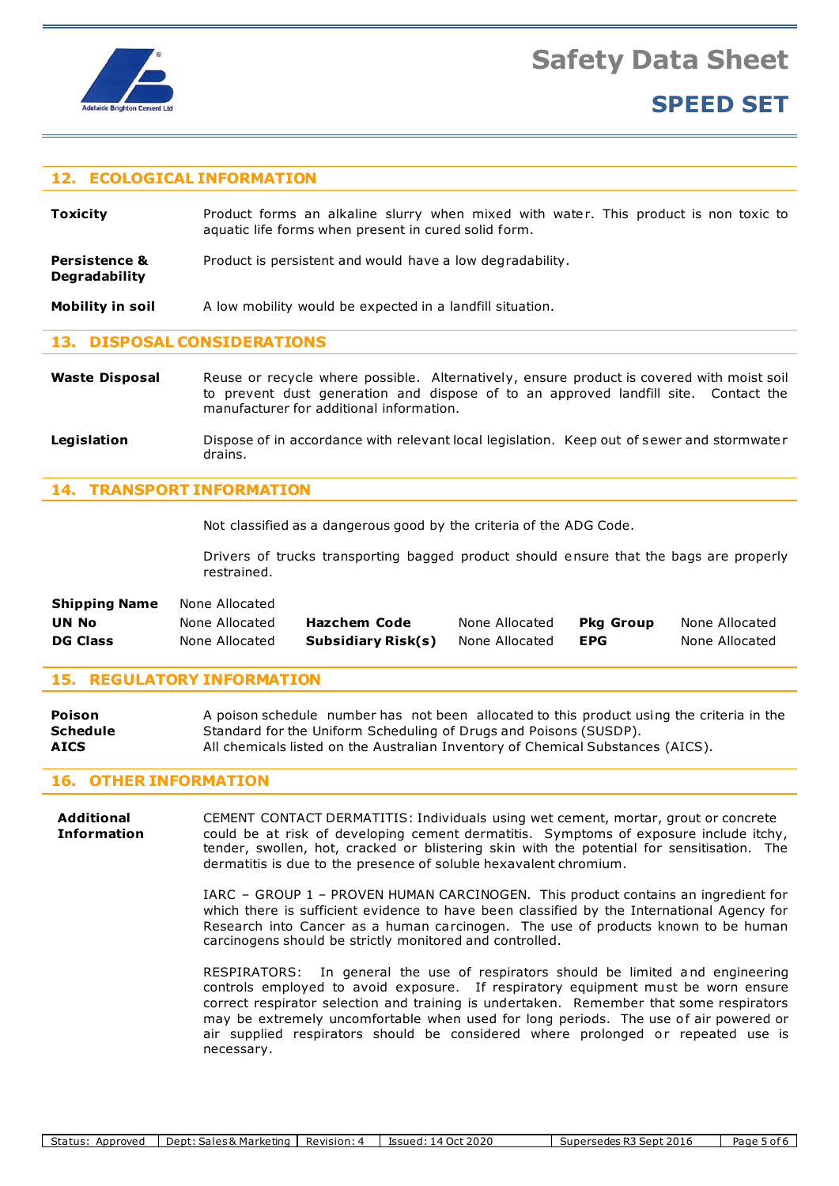

**Degradability**

**Safety Data Sheet**

# **SPEED SET**

#### **12. ECOLOGICAL INFORMATION**

**Toxicity Product forms an alkaline slurry when mixed with water. This product is non toxic to** aquatic life forms when present in cured solid form.

**Persistence &** Product is persistent and would have a low degradability.

**Mobility in soil** A low mobility would be expected in a landfill situation.

#### **13. DISPOSAL CONSIDERATIONS**

- Waste Disposal Reuse or recycle where possible. Alternatively, ensure product is covered with moist soil to prevent dust generation and dispose of to an approved landfill site. Contact the manufacturer for additional information.
- Legislation **Dispose of in accordance with relevant local legislation. Keep out of sewer and stormwater** drains.

#### **14. TRANSPORT INFORMATION**

Not classified as a dangerous good by the criteria of the ADG Code.

Drivers of trucks transporting bagged product should ensure that the bags are properly restrained.

| <b>Shipping Name</b> | None Allocated |                     |                |            |                |
|----------------------|----------------|---------------------|----------------|------------|----------------|
| UN No                | None Allocated | <b>Hazchem Code</b> | None Allocated | Pka Group  | None Allocated |
| <b>DG Class</b>      | None Allocated | Subsidiary Risk(s)  | None Allocated | <b>EPG</b> | None Allocated |

#### **15. REGULATORY INFORMATION**

**Poison** A poison schedule number has not been allocated to this product using the criteria in the **Schedule** Standard for the Uniform Scheduling of Drugs and Poisons (SUSDP). **AICS** All chemicals listed on the Australian Inventory of Chemical Substances (AICS).

#### **16. OTHER INFORMATION**

**Additional** CEMENT CONTACT DERMATITIS: Individuals using wet cement, mortar, grout or concrete **Information** could be at risk of developing cement dermatitis. Symptoms of exposure include itchy, tender, swollen, hot, cracked or blistering skin with the potential for sensitisation. The dermatitis is due to the presence of soluble hexavalent chromium.

> IARC – GROUP 1 – PROVEN HUMAN CARCINOGEN. This product contains an ingredient for which there is sufficient evidence to have been classified by the International Agency for Research into Cancer as a human carcinogen. The use of products known to be human carcinogens should be strictly monitored and controlled.

> RESPIRATORS: In general the use of respirators should be limited and engineering controls employed to avoid exposure. If respiratory equipment must be worn ensure correct respirator selection and training is undertaken. Remember that some respirators may be extremely uncomfortable when used for long periods. The use of air powered or air supplied respirators should be considered where prolonged or repeated use is necessary.